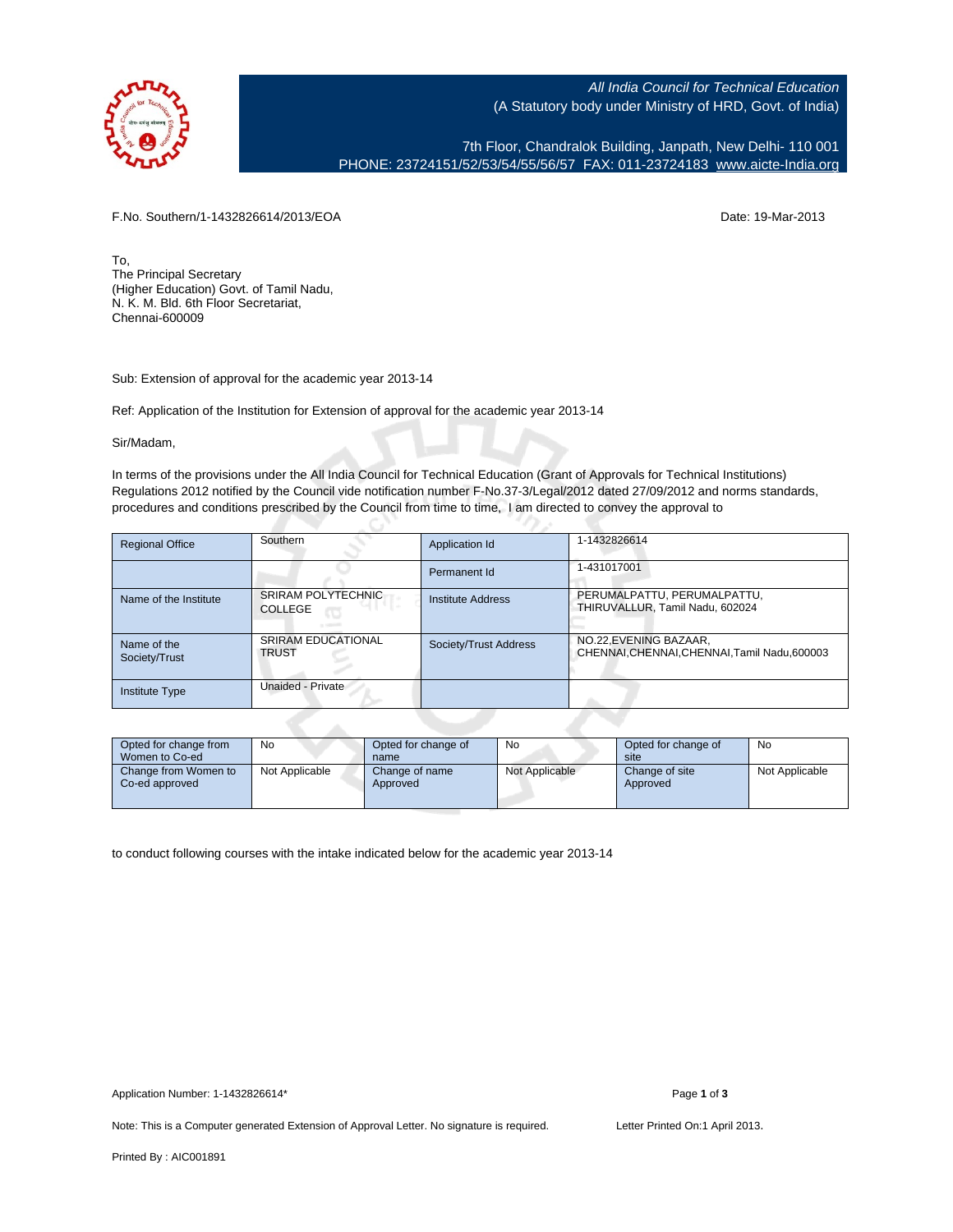

All India Council for Technical Education (A Statutory body under Ministry of HRD, Govt. of India)

7th Floor, Chandralok Building, Janpath, New Delhi- 110 001 PHONE: 23724151/52/53/54/55/56/57 FAX: 011-23724183 [www.aicte-India.org](http://www.aicte-India.org)

F.No. Southern/1-1432826614/2013/EOA Date: 19-Mar-2013

To, The Principal Secretary (Higher Education) Govt. of Tamil Nadu, N. K. M. Bld. 6th Floor Secretariat, Chennai-600009

Sub: Extension of approval for the academic year 2013-14

Ref: Application of the Institution for Extension of approval for the academic year 2013-14

с.

Sir/Madam,

In terms of the provisions under the All India Council for Technical Education (Grant of Approvals for Technical Institutions) Regulations 2012 notified by the Council vide notification number F-No.37-3/Legal/2012 dated 27/09/2012 and norms standards, procedures and conditions prescribed by the Council from time to time, I am directed to convey the approval to

| <b>Regional Office</b>       | Southern                                    | Application Id        | 1-1432826614                                                            |
|------------------------------|---------------------------------------------|-----------------------|-------------------------------------------------------------------------|
|                              |                                             | Permanent Id          | 1-431017001                                                             |
| Name of the Institute        | <b>SRIRAM POLYTECHNIC</b><br><b>COLLEGE</b> | Institute Address     | PERUMALPATTU, PERUMALPATTU,<br>THIRUVALLUR, Tamil Nadu, 602024          |
| Name of the<br>Society/Trust | <b>SRIRAM EDUCATIONAL</b><br><b>TRUST</b>   | Society/Trust Address | NO.22, EVENING BAZAAR,<br>CHENNAI, CHENNAI, CHENNAI, Tamil Nadu, 600003 |
| <b>Institute Type</b>        | Unaided - Private                           |                       |                                                                         |

| Opted for change from<br>Women to Co-ed | <b>No</b>      | Opted for change of<br>name | No             | Opted for change of<br>site | No             |
|-----------------------------------------|----------------|-----------------------------|----------------|-----------------------------|----------------|
| Change from Women to<br>Co-ed approved  | Not Applicable | Change of name<br>Approved  | Not Applicable | Change of site<br>Approved  | Not Applicable |

to conduct following courses with the intake indicated below for the academic year 2013-14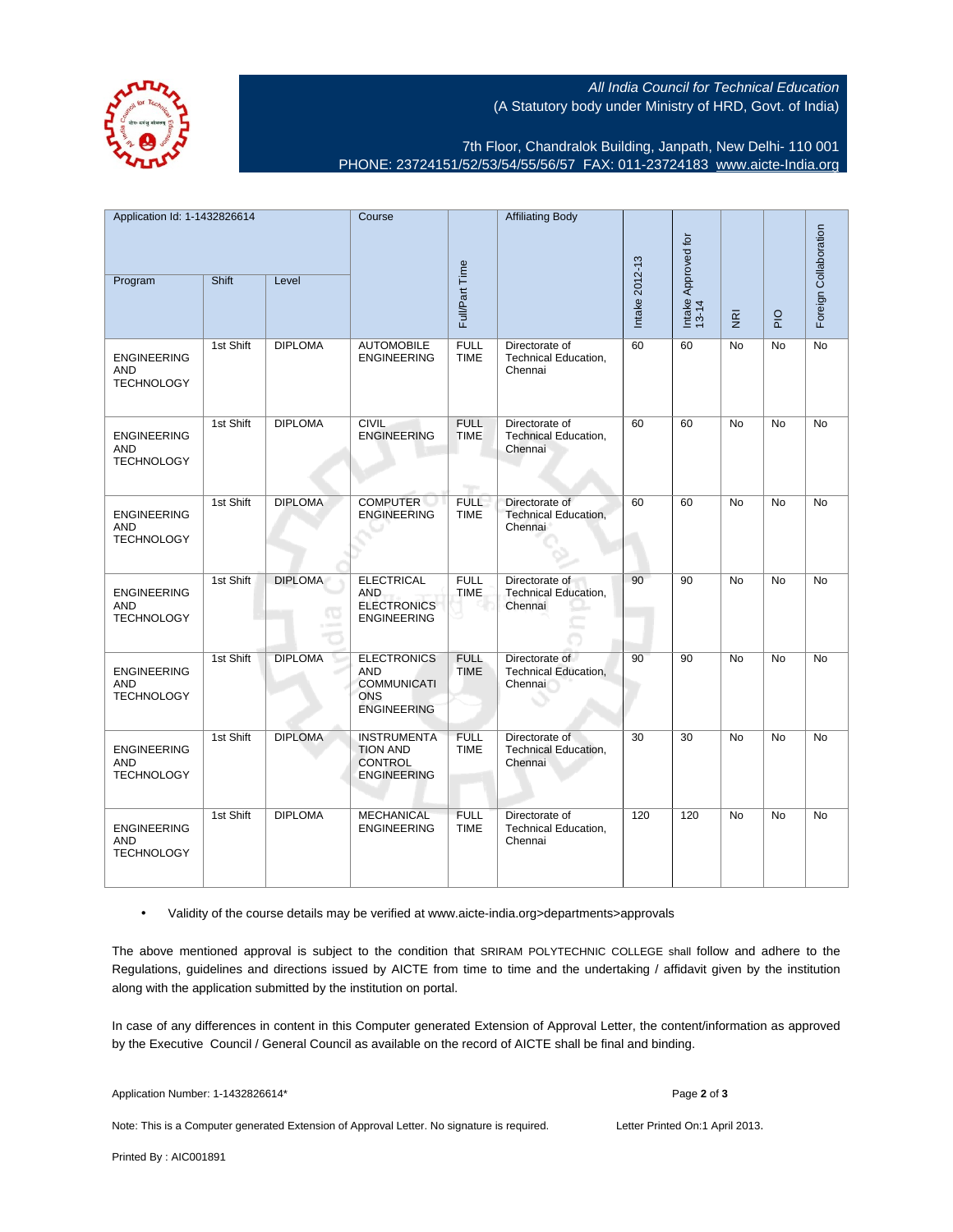All India Council for Technical Education (A Statutory body under Ministry of HRD, Govt. of India)



7th Floor, Chandralok Building, Janpath, New Delhi- 110 001 PHONE: 23724151/52/53/54/55/56/57 FAX: 011-23724183 [www.aicte-India.org](http://www.aicte-India.org)

| Application Id: 1-1432826614                          |           | Course         |                                                                                            | <b>Affiliating Body</b>    |                                                          |                |                              |                         |               |                       |
|-------------------------------------------------------|-----------|----------------|--------------------------------------------------------------------------------------------|----------------------------|----------------------------------------------------------|----------------|------------------------------|-------------------------|---------------|-----------------------|
| Program                                               | Shift     | Level          |                                                                                            | Full/Part Time             |                                                          | Intake 2012-13 | Intake Approved for<br>13-14 | $\overline{\mathbf{g}}$ | $\frac{1}{2}$ | Foreign Collaboration |
| <b>ENGINEERING</b><br><b>AND</b><br><b>TECHNOLOGY</b> | 1st Shift | <b>DIPLOMA</b> | <b>AUTOMOBILE</b><br><b>ENGINEERING</b>                                                    | <b>FULL</b><br><b>TIME</b> | Directorate of<br>Technical Education,<br>Chennai        | 60             | 60                           | <b>No</b>               | <b>No</b>     | No                    |
| <b>ENGINEERING</b><br>AND<br><b>TECHNOLOGY</b>        | 1st Shift | <b>DIPLOMA</b> | <b>CIVIL</b><br><b>ENGINEERING</b>                                                         | <b>FULL</b><br><b>TIME</b> | Directorate of<br>Technical Education,<br>Chennai        | 60             | 60                           | No                      | No            | No                    |
| <b>ENGINEERING</b><br><b>AND</b><br><b>TECHNOLOGY</b> | 1st Shift | <b>DIPLOMA</b> | <b>COMPUTER</b><br><b>ENGINEERING</b>                                                      | <b>FULL</b><br><b>TIME</b> | Directorate of<br>Technical Education,<br>Chennai        | 60             | 60                           | <b>No</b>               | <b>No</b>     | No                    |
| <b>ENGINEERING</b><br><b>AND</b><br><b>TECHNOLOGY</b> | 1st Shift | <b>DIPLOMA</b> | <b>ELECTRICAL</b><br><b>AND</b><br><b>ELECTRONICS</b><br><b>ENGINEERING</b>                | <b>FULL</b><br><b>TIME</b> | Directorate of<br>Technical Education,<br>Chennai        | 90             | 90                           | <b>No</b>               | <b>No</b>     | <b>No</b>             |
| <b>ENGINEERING</b><br><b>AND</b><br><b>TECHNOLOGY</b> | 1st Shift | <b>DIPLOMA</b> | <b>ELECTRONICS</b><br><b>AND</b><br><b>COMMUNICATI</b><br><b>ONS</b><br><b>ENGINEERING</b> | <b>FULL</b><br><b>TIME</b> | Directorate of<br>Technical Education,<br>Chennai        | 90             | 90                           | No                      | No            | No                    |
| <b>ENGINEERING</b><br><b>AND</b><br><b>TECHNOLOGY</b> | 1st Shift | <b>DIPLOMA</b> | <b>INSTRUMENTA</b><br><b>TION AND</b><br><b>CONTROL</b><br><b>ENGINEERING</b>              | <b>FULL</b><br><b>TIME</b> | Directorate of<br><b>Technical Education,</b><br>Chennai | 30             | 30                           | No                      | No            | No                    |
| <b>ENGINEERING</b><br><b>AND</b><br><b>TECHNOLOGY</b> | 1st Shift | <b>DIPLOMA</b> | <b>MECHANICAL</b><br><b>ENGINEERING</b>                                                    | <b>FULL</b><br><b>TIME</b> | Directorate of<br>Technical Education,<br>Chennai        | 120            | 120                          | <b>No</b>               | <b>No</b>     | No                    |

• Validity of the course details may be verified at www.aicte-india.org>departments>approvals

The above mentioned approval is subject to the condition that SRIRAM POLYTECHNIC COLLEGE shall follow and adhere to the Regulations, guidelines and directions issued by AICTE from time to time and the undertaking / affidavit given by the institution along with the application submitted by the institution on portal.

In case of any differences in content in this Computer generated Extension of Approval Letter, the content/information as approved by the Executive Council / General Council as available on the record of AICTE shall be final and binding.